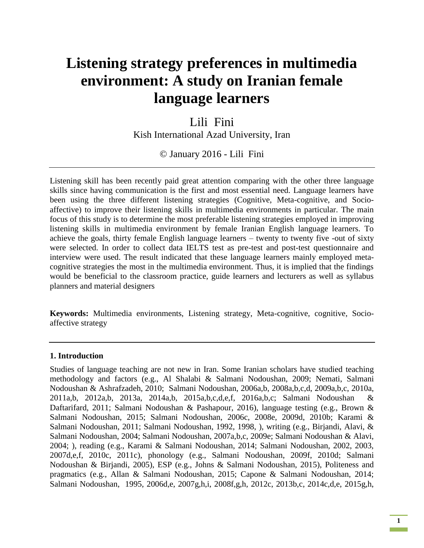# **Listening strategy preferences in multimedia environment: A study on Iranian female language learners**

# Lili Fini

Kish International Azad University, Iran

© January 2016 - Lili Fini

Listening skill has been recently paid great attention comparing with the other three language skills since having communication is the first and most essential need. Language learners have been using the three different listening strategies (Cognitive, Meta-cognitive, and Socioaffective) to improve their listening skills in multimedia environments in particular. The main focus of this study is to determine the most preferable listening strategies employed in improving listening skills in multimedia environment by female Iranian English language learners. To achieve the goals, thirty female English language learners – twenty to twenty five -out of sixty were selected. In order to collect data IELTS test as pre-test and post-test questionnaire and interview were used. The result indicated that these language learners mainly employed metacognitive strategies the most in the multimedia environment. Thus, it is implied that the findings would be beneficial to the classroom practice, guide learners and lecturers as well as syllabus planners and material designers

**Keywords:** Multimedia environments, Listening strategy, Meta-cognitive, cognitive, Socioaffective strategy

#### **1. Introduction**

Studies of language teaching are not new in Iran. Some Iranian scholars have studied teaching methodology and factors (e.g., Al Shalabi & Salmani Nodoushan, 2009; Nemati, Salmani Nodoushan & Ashrafzadeh, 2010; Salmani Nodoushan, 2006a,b, 2008a,b,c,d, 2009a,b,c, 2010a, 2011a,b, 2012a,b, 2013a, 2014a,b, 2015a,b,c,d,e,f, 2016a,b,c; Salmani Nodoushan & Daftarifard, 2011; Salmani Nodoushan & Pashapour, 2016), language testing (e.g., Brown & Salmani Nodoushan, 2015; Salmani Nodoushan, 2006c, 2008e, 2009d, 2010b; Karami & Salmani Nodoushan, 2011; Salmani Nodoushan, 1992, 1998, ), writing (e.g., Birjandi, Alavi, & Salmani Nodoushan, 2004; Salmani Nodoushan, 2007a,b,c, 2009e; Salmani Nodoushan & Alavi, 2004; ), reading (e.g., Karami & Salmani Nodoushan, 2014; Salmani Nodoushan, 2002, 2003, 2007d,e,f, 2010c, 2011c), phonology (e.g., Salmani Nodoushan, 2009f, 2010d; Salmani Nodoushan & Birjandi, 2005), ESP (e.g., Johns & Salmani Nodoushan, 2015), Politeness and pragmatics (e.g., Allan & Salmani Nodoushan, 2015; Capone & Salmani Nodoushan, 2014; Salmani Nodoushan, 1995, 2006d,e, 2007g,h,i, 2008f,g,h, 2012c, 2013b,c, 2014c,d,e, 2015g,h,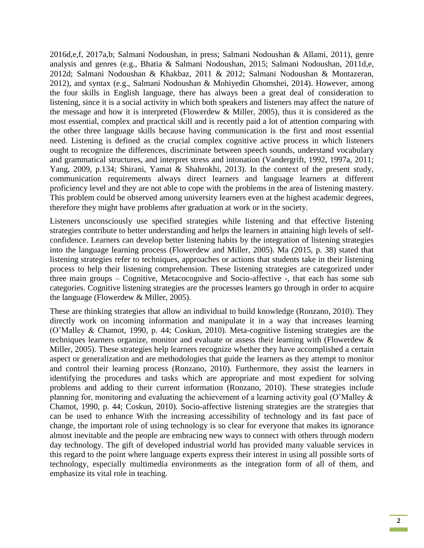2016d,e,f, 2017a,b; Salmani Nodoushan, in press; Salmani Nodoushan & Allami, 2011), genre analysis and genres (e.g., Bhatia & Salmani Nodoushan, 2015; Salmani Nodoushan, 2011d,e, 2012d; Salmani Nodoushan & Khakbaz, 2011 & 2012; Salmani Nodoushan & Montazeran, 2012), and syntax (e.g., Salmani Nodoushan & Mohiyedin Ghomshei, 2014). However, among the four skills in English language, there has always been a great deal of consideration to listening, since it is a social activity in which both speakers and listeners may affect the nature of the message and how it is interpreted (Flowerdew & Miller, 2005), thus it is considered as the most essential, complex and practical skill and is recently paid a lot of attention comparing with the other three language skills because having communication is the first and most essential need. Listening is defined as the crucial complex cognitive active process in which listeners ought to recognize the differences, discriminate between speech sounds, understand vocabulary and grammatical structures, and interpret stress and intonation (Vandergrift, 1992, 1997a, 2011; Yang, 2009, p.134; Shirani, Yamat & Shahrokhi, 2013). In the context of the present study, communication requirements always direct learners and language learners at different proficiency level and they are not able to cope with the problems in the area of listening mastery. This problem could be observed among university learners even at the highest academic degrees, therefore they might have problems after graduation at work or in the society.

Listeners unconsciously use specified strategies while listening and that effective listening strategies contribute to better understanding and helps the learners in attaining high levels of selfconfidence. Learners can develop better listening habits by the integration of listening strategies into the language learning process (Flowerdew and Miller, 2005). Ma (2015, p. 38) stated that listening strategies refer to techniques, approaches or actions that students take in their listening process to help their listening comprehension. These listening strategies are categorized under three main groups – Cognitive, Metacocognive and Socio-affective -, that each has some sub categories. Cognitive listening strategies are the processes learners go through in order to acquire the language (Flowerdew & Miller, 2005).

These are thinking strategies that allow an individual to build knowledge (Ronzano, 2010). They directly work on incoming information and manipulate it in a way that increases learning (O'Malley & Chamot, 1990, p. 44; Coskun, 2010). Meta-cognitive listening strategies are the techniques learners organize, monitor and evaluate or assess their learning with (Flowerdew & Miller, 2005). These strategies help learners recognize whether they have accomplished a certain aspect or generalization and are methodologies that guide the learners as they attempt to monitor and control their learning process (Ronzano, 2010). Furthermore, they assist the learners in identifying the procedures and tasks which are appropriate and most expedient for solving problems and adding to their current information (Ronzano, 2010). These strategies include planning for, monitoring and evaluating the achievement of a learning activity goal (O'Malley & Chamot, 1990, p. 44; Coskun, 2010). Socio-affective listening strategies are the strategies that can be used to enhance With the increasing accessibility of technology and its fast pace of change, the important role of using technology is so clear for everyone that makes its ignorance almost inevitable and the people are embracing new ways to connect with others through modern day technology. The gift of developed industrial world has provided many valuable services in this regard to the point where language experts express their interest in using all possible sorts of technology, especially multimedia environments as the integration form of all of them, and emphasize its vital role in teaching.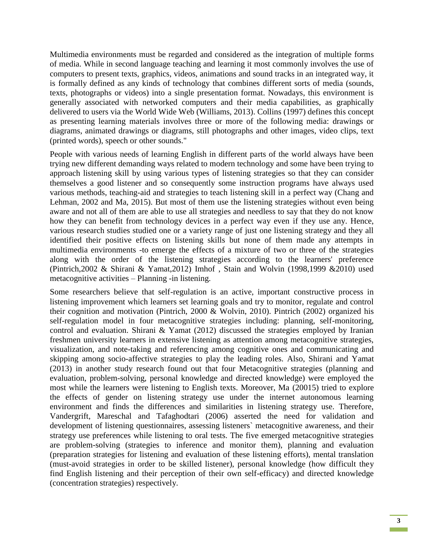Multimedia environments must be regarded and considered as the integration of multiple forms of media. While in second language teaching and learning it most commonly involves the use of computers to present texts, graphics, videos, animations and sound tracks in an integrated way, it is formally defined as any kinds of technology that combines different sorts of media (sounds, texts, photographs or videos) into a single presentation format. Nowadays, this environment is generally associated with networked computers and their media capabilities, as graphically delivered to users via the World Wide Web (Williams, 2013). Collins (1997) defines this concept as presenting learning materials involves three or more of the following media: drawings or diagrams, animated drawings or diagrams, still photographs and other images, video clips, text (printed words), speech or other sounds."

People with various needs of learning English in different parts of the world always have been trying new different demanding ways related to modern technology and some have been trying to approach listening skill by using various types of listening strategies so that they can consider themselves a good listener and so consequently some instruction programs have always used various methods, teaching-aid and strategies to teach listening skill in a perfect way (Chang and Lehman, 2002 and Ma, 2015). But most of them use the listening strategies without even being aware and not all of them are able to use all strategies and needless to say that they do not know how they can benefit from technology devices in a perfect way even if they use any. Hence, various research studies studied one or a variety range of just one listening strategy and they all identified their positive effects on listening skills but none of them made any attempts in multimedia environments -to emerge the effects of a mixture of two or three of the strategies along with the order of the listening strategies according to the learners' preference (Pintrich,2002 & Shirani & Yamat,2012) Imhof , Stain and Wolvin (1998,1999 &2010) used metacognitive activities – Planning -in listening.

Some researchers believe that self-regulation is an active, important constructive process in listening improvement which learners set learning goals and try to monitor, regulate and control their cognition and motivation (Pintrich, 2000 & Wolvin, 2010). Pintrich (2002) organized his self-regulation model in four metacognitive strategies including: planning, self-monitoring, control and evaluation. Shirani & Yamat (2012) discussed the strategies employed by Iranian freshmen university learners in extensive listening as attention among metacognitive strategies, visualization, and note-taking and referencing among cognitive ones and communicating and skipping among socio-affective strategies to play the leading roles. Also, Shirani and Yamat (2013) in another study research found out that four Metacognitive strategies (planning and evaluation, problem-solving, personal knowledge and directed knowledge) were employed the most while the learners were listening to English texts. Moreover, Ma (20015) tried to explore the effects of gender on listening strategy use under the internet autonomous learning environment and finds the differences and similarities in listening strategy use. Therefore, Vandergrift, Mareschal and Tafaghodtari (2006) asserted the need for validation and development of listening questionnaires, assessing listeners` metacognitive awareness, and their strategy use preferences while listening to oral tests. The five emerged metacognitive strategies are problem-solving (strategies to inference and monitor them), planning and evaluation (preparation strategies for listening and evaluation of these listening efforts), mental translation (must-avoid strategies in order to be skilled listener), personal knowledge (how difficult they find English listening and their perception of their own self-efficacy) and directed knowledge (concentration strategies) respectively.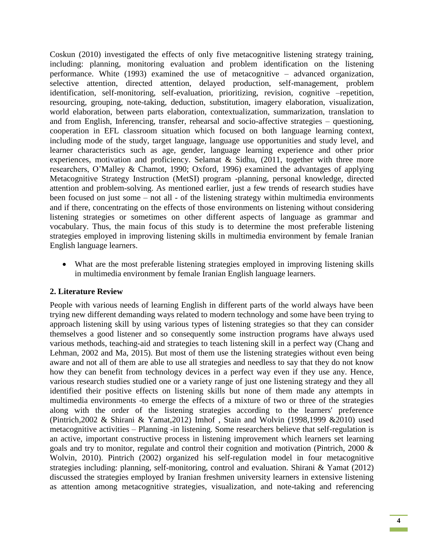Coskun (2010) investigated the effects of only five metacognitive listening strategy training, including: planning, monitoring evaluation and problem identification on the listening performance. White (1993) examined the use of metacognitive – advanced organization, selective attention, directed attention, delayed production, self-management, problem identification, self-monitoring, self-evaluation, prioritizing, revision, cognitive –repetition, resourcing, grouping, note-taking, deduction, substitution, imagery elaboration, visualization, world elaboration, between parts elaboration, contextualization, summarization, translation to and from English, Inferencing, transfer, rehearsal and socio-affective strategies – questioning, cooperation in EFL classroom situation which focused on both language learning context, including mode of the study, target language, language use opportunities and study level, and learner characteristics such as age, gender, language learning experience and other prior experiences, motivation and proficiency. Selamat & Sidhu, (2011, together with three more researchers, O'Malley & Chamot, 1990; Oxford, 1996) examined the advantages of applying Metacognitive Strategy Instruction (MetSI) program -planning, personal knowledge, directed attention and problem-solving. As mentioned earlier, just a few trends of research studies have been focused on just some – not all - of the listening strategy within multimedia environments and if there, concentrating on the effects of those environments on listening without considering listening strategies or sometimes on other different aspects of language as grammar and vocabulary. Thus, the main focus of this study is to determine the most preferable listening strategies employed in improving listening skills in multimedia environment by female Iranian English language learners.

 What are the most preferable listening strategies employed in improving listening skills in multimedia environment by female Iranian English language learners.

### **2. Literature Review**

People with various needs of learning English in different parts of the world always have been trying new different demanding ways related to modern technology and some have been trying to approach listening skill by using various types of listening strategies so that they can consider themselves a good listener and so consequently some instruction programs have always used various methods, teaching-aid and strategies to teach listening skill in a perfect way (Chang and Lehman, 2002 and Ma, 2015). But most of them use the listening strategies without even being aware and not all of them are able to use all strategies and needless to say that they do not know how they can benefit from technology devices in a perfect way even if they use any. Hence, various research studies studied one or a variety range of just one listening strategy and they all identified their positive effects on listening skills but none of them made any attempts in multimedia environments -to emerge the effects of a mixture of two or three of the strategies along with the order of the listening strategies according to the learners' preference (Pintrich,2002 & Shirani & Yamat,2012) Imhof , Stain and Wolvin (1998,1999 &2010) used metacognitive activities – Planning -in listening. Some researchers believe that self-regulation is an active, important constructive process in listening improvement which learners set learning goals and try to monitor, regulate and control their cognition and motivation (Pintrich, 2000 & Wolvin, 2010). Pintrich (2002) organized his self-regulation model in four metacognitive strategies including: planning, self-monitoring, control and evaluation. Shirani & Yamat (2012) discussed the strategies employed by Iranian freshmen university learners in extensive listening as attention among metacognitive strategies, visualization, and note-taking and referencing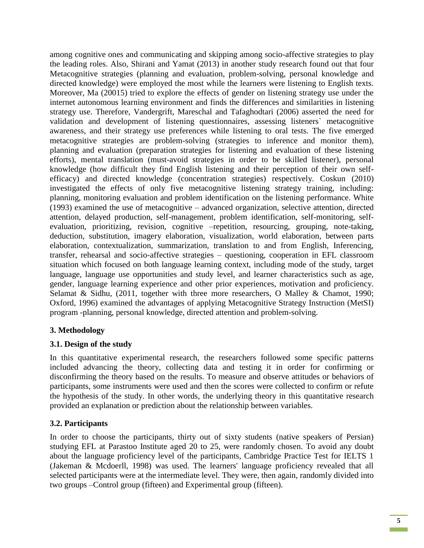among cognitive ones and communicating and skipping among socio-affective strategies to play the leading roles. Also, Shirani and Yamat (2013) in another study research found out that four Metacognitive strategies (planning and evaluation, problem-solving, personal knowledge and directed knowledge) were employed the most while the learners were listening to English texts. Moreover, Ma (20015) tried to explore the effects of gender on listening strategy use under the internet autonomous learning environment and finds the differences and similarities in listening strategy use. Therefore, Vandergrift, Mareschal and Tafaghodtari (2006) asserted the need for validation and development of listening questionnaires, assessing listeners` metacognitive awareness, and their strategy use preferences while listening to oral tests. The five emerged metacognitive strategies are problem-solving (strategies to inference and monitor them), planning and evaluation (preparation strategies for listening and evaluation of these listening efforts), mental translation (must-avoid strategies in order to be skilled listener), personal knowledge (how difficult they find English listening and their perception of their own selfefficacy) and directed knowledge (concentration strategies) respectively. Coskun (2010) investigated the effects of only five metacognitive listening strategy training, including: planning, monitoring evaluation and problem identification on the listening performance. White (1993) examined the use of metacognitive – advanced organization, selective attention, directed attention, delayed production, self-management, problem identification, self-monitoring, selfevaluation, prioritizing, revision, cognitive –repetition, resourcing, grouping, note-taking, deduction, substitution, imagery elaboration, visualization, world elaboration, between parts elaboration, contextualization, summarization, translation to and from English, Inferencing, transfer, rehearsal and socio-affective strategies – questioning, cooperation in EFL classroom situation which focused on both language learning context, including mode of the study, target language, language use opportunities and study level, and learner characteristics such as age, gender, language learning experience and other prior experiences, motivation and proficiency. Selamat & Sidhu, (2011, together with three more researchers, O Malley & Chamot, 1990; Oxford, 1996) examined the advantages of applying Metacognitive Strategy Instruction (MetSI) program -planning, personal knowledge, directed attention and problem-solving.

### **3. Methodology**

### **3.1. Design of the study**

In this quantitative experimental research, the researchers followed some specific patterns included advancing the theory, collecting data and testing it in order for confirming or disconfirming the theory based on the results. To measure and observe attitudes or behaviors of participants, some instruments were used and then the scores were collected to confirm or refute the hypothesis of the study. In other words, the underlying theory in this quantitative research provided an explanation or prediction about the relationship between variables.

### **3.2. Participants**

In order to choose the participants, thirty out of sixty students (native speakers of Persian) studying EFL at Parastoo Institute aged 20 to 25, were randomly chosen. To avoid any doubt about the language proficiency level of the participants, Cambridge Practice Test for IELTS 1 (Jakeman & Mcdoerll, 1998) was used. The learners' language proficiency revealed that all selected participants were at the intermediate level. They were, then again, randomly divided into two groups –Control group (fifteen) and Experimental group (fifteen).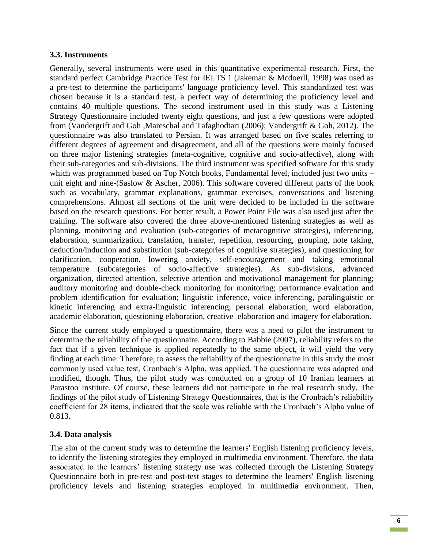#### **3.3. Instruments**

Generally, several instruments were used in this quantitative experimental research. First, the standard perfect Cambridge Practice Test for IELTS 1 (Jakeman & Mcdoerll, 1998) was used as a pre-test to determine the participants' language proficiency level. This standardized test was chosen because it is a standard test, a perfect way of determining the proficiency level and contains 40 multiple questions. The second instrument used in this study was a Listening Strategy Questionnaire included twenty eight questions, and just a few questions were adopted from (Vandergrift and Goh ,Mareschal and Tafaghodtari (2006); Vandergrift & Goh, 2012). The questionnaire was also translated to Persian. It was arranged based on five scales referring to different degrees of agreement and disagreement, and all of the questions were mainly focused on three major listening strategies (meta-cognitive, cognitive and socio-affective), along with their sub-categories and sub-divisions. The third instrument was specified software for this study which was programmed based on Top Notch books, Fundamental level, included just two units – unit eight and nine-(Saslow & Ascher, 2006). This software covered different parts of the book such as vocabulary, grammar explanations, grammar exercises, conversations and listening comprehensions. Almost all sections of the unit were decided to be included in the software based on the research questions. For better result, a Power Point File was also used just after the training. The software also covered the three above-mentioned listening strategies as well as planning, monitoring and evaluation (sub-categories of metacognitive strategies), inferencing, elaboration, summarization, translation, transfer, repetition, resourcing, grouping, note taking, deduction/induction and substitution (sub-categories of cognitive strategies), and questioning for clarification, cooperation, lowering anxiety, self-encouragement and taking emotional temperature (subcategories of socio-affective strategies). As sub-divisions, advanced organization, directed attention, selective attention and motivational management for planning; auditory monitoring and double-check monitoring for monitoring; performance evaluation and problem identification for evaluation; linguistic inference, voice inferencing, paralinguistic or kinetic inferencing and extra-linguistic inferencing; personal elaboration, word elaboration, academic elaboration, questioning elaboration, creative elaboration and imagery for elaboration.

Since the current study employed a questionnaire, there was a need to pilot the instrument to determine the reliability of the questionnaire. According to Babbie (2007), reliability refers to the fact that if a given technique is applied repeatedly to the same object, it will yield the very finding at each time. Therefore, to assess the reliability of the questionnaire in this study the most commonly used value test, Cronbach's Alpha, was applied. The questionnaire was adapted and modified, though. Thus, the pilot study was conducted on a group of 10 Iranian learners at Parastoo Institute. Of course, these learners did not participate in the real research study. The findings of the pilot study of Listening Strategy Questionnaires, that is the Cronbach's reliability coefficient for 28 items, indicated that the scale was reliable with the Cronbach's Alpha value of 0.813.

### **3.4. Data analysis**

The aim of the current study was to determine the learners' English listening proficiency levels, to identify the listening strategies they employed in multimedia environment. Therefore, the data associated to the learners' listening strategy use was collected through the Listening Strategy Questionnaire both in pre-test and post-test stages to determine the learners' English listening proficiency levels and listening strategies employed in multimedia environment. Then,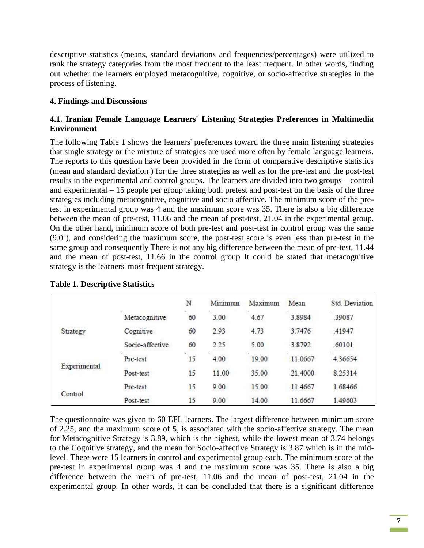descriptive statistics (means, standard deviations and frequencies/percentages) were utilized to rank the strategy categories from the most frequent to the least frequent. In other words, finding out whether the learners employed metacognitive, cognitive, or socio-affective strategies in the process of listening.

#### **4. Findings and Discussions**

#### **4.1. Iranian Female Language Learners' Listening Strategies Preferences in Multimedia Environment**

The following Table 1 shows the learners' preferences toward the three main listening strategies that single strategy or the mixture of strategies are used more often by female language learners. The reports to this question have been provided in the form of comparative descriptive statistics (mean and standard deviation ) for the three strategies as well as for the pre-test and the post-test results in the experimental and control groups. The learners are divided into two groups – control and experimental – 15 people per group taking both pretest and post-test on the basis of the three strategies including metacognitive, cognitive and socio affective. The minimum score of the pretest in experimental group was 4 and the maximum score was 35. There is also a big difference between the mean of pre-test, 11.06 and the mean of post-test, 21.04 in the experimental group. On the other hand, minimum score of both pre-test and post-test in control group was the same (9.0 ), and considering the maximum score, the post-test score is even less than pre-test in the same group and consequently There is not any big difference between the mean of pre-test, 11.44 and the mean of post-test, 11.66 in the control group It could be stated that metacognitive strategy is the learners' most frequent strategy.

|              |                 | N  | Minimum | Maximum | Mean    | Std. Deviation |
|--------------|-----------------|----|---------|---------|---------|----------------|
|              | Metacognitive   | 60 | 3.00    | 4.67    | 3.8984  | .39087         |
| Strategy     | Cognitive       | 60 | 2.93    | 4.73    | 3.7476  | .41947         |
|              | Socio-affective | 60 | 2.25    | 5.00    | 3.8792  | .60101         |
| Experimental | Pre-test        | 15 | 4.00    | 19.00   | 11.0667 | 4.36654        |
|              | Post-test       | 15 | 11.00   | 35.00   | 21.4000 | 8.25314        |
| Control      | Pre-test        | 15 | 9.00    | 15.00   | 11.4667 | 1.68466        |
|              | Post-test       | 15 | 9.00    | 14.00   | 11.6667 | 1.49603        |

#### **Table 1. Descriptive Statistics**

The questionnaire was given to 60 EFL learners. The largest difference between minimum score of 2.25, and the maximum score of 5, is associated with the socio-affective strategy. The mean for Metacognitive Strategy is 3.89, which is the highest, while the lowest mean of 3.74 belongs to the Cognitive strategy, and the mean for Socio-affective Strategy is 3.87 which is in the midlevel. There were 15 learners in control and experimental group each. The minimum score of the pre-test in experimental group was 4 and the maximum score was 35. There is also a big difference between the mean of pre-test, 11.06 and the mean of post-test, 21.04 in the experimental group. In other words, it can be concluded that there is a significant difference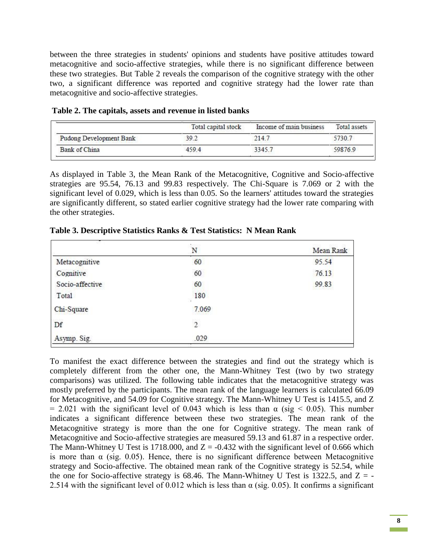between the three strategies in students' opinions and students have positive attitudes toward metacognitive and socio-affective strategies, while there is no significant difference between these two strategies. But Table 2 reveals the comparison of the cognitive strategy with the other two, a significant difference was reported and cognitive strategy had the lower rate than metacognitive and socio-affective strategies.

|                         | Total capital stock | Income of main business | Total assets |
|-------------------------|---------------------|-------------------------|--------------|
| Pudong Development Bank | 39.2                | 214.7                   | 5730.7       |
| Bank of China           | 4594                | 3345.7                  | 59876.9      |

**Table 2. The capitals, assets and revenue in listed banks** 

As displayed in Table 3, the Mean Rank of the Metacognitive, Cognitive and Socio-affective strategies are 95.54, 76.13 and 99.83 respectively. The Chi-Square is 7.069 or 2 with the significant level of 0.029, which is less than 0.05. So the learners' attitudes toward the strategies are significantly different, so stated earlier cognitive strategy had the lower rate comparing with the other strategies.

|                 | N              | Mean Rank |  |  |
|-----------------|----------------|-----------|--|--|
| Metacognitive   | 60             | 95.54     |  |  |
| Cognitive       | 60             | 76.13     |  |  |
| Socio-affective | 60             | 99.83     |  |  |
| Total           | 180<br>72      |           |  |  |
| Chi-Square      | 7.069          |           |  |  |
| Df              | $\overline{2}$ |           |  |  |
| Asymp. Sig.     | .029           |           |  |  |

**Table 3. Descriptive Statistics Ranks & Test Statistics: N Mean Rank** 

To manifest the exact difference between the strategies and find out the strategy which is completely different from the other one, the Mann-Whitney Test (two by two strategy comparisons) was utilized. The following table indicates that the metacognitive strategy was mostly preferred by the participants. The mean rank of the language learners is calculated 66.09 for Metacognitive, and 54.09 for Cognitive strategy. The Mann-Whitney U Test is 1415.5, and Z  $= 2.021$  with the significant level of 0.043 which is less than  $\alpha$  (sig < 0.05). This number indicates a significant difference between these two strategies. The mean rank of the Metacognitive strategy is more than the one for Cognitive strategy. The mean rank of Metacognitive and Socio-affective strategies are measured 59.13 and 61.87 in a respective order. The Mann-Whitney U Test is 1718.000, and  $Z = -0.432$  with the significant level of 0.666 which is more than  $\alpha$  (sig. 0.05). Hence, there is no significant difference between Metacognitive strategy and Socio-affective. The obtained mean rank of the Cognitive strategy is 52.54, while the one for Socio-affective strategy is 68.46. The Mann-Whitney U Test is 1322.5, and  $Z = -$ 2.514 with the significant level of 0.012 which is less than  $\alpha$  (sig. 0.05). It confirms a significant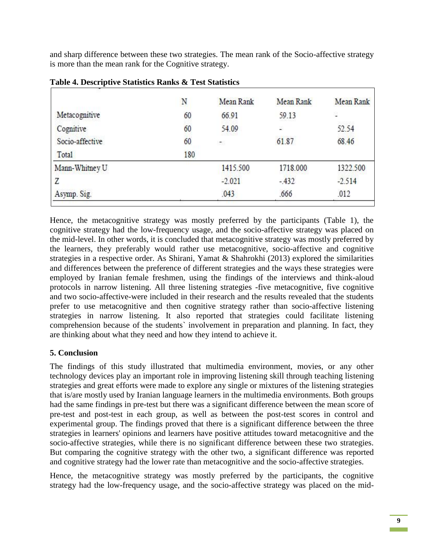and sharp difference between these two strategies. The mean rank of the Socio-affective strategy is more than the mean rank for the Cognitive strategy.

|                 | N   | Mean Rank | Mean Rank | Mean Rank |
|-----------------|-----|-----------|-----------|-----------|
| Metacognitive   | 60  | 66.91     | 59.13     | 湿         |
| Cognitive       | 60  | 54.09     | ¥.        | 52.54     |
| Socio-affective | 60  | ÷.        | 61.87     | 68.46     |
| <b>Total</b>    | 180 |           |           |           |
| Mann-Whitney U  |     | 1415.500  | 1718.000  | 1322.500  |
| Ζ               |     | $-2.021$  | $-432$    | $-2.514$  |
| Asymp. Sig.     |     | .043      | .666      | .012      |
|                 |     |           |           |           |

**Table 4. Descriptive Statistics Ranks & Test Statistics**

Hence, the metacognitive strategy was mostly preferred by the participants (Table 1), the cognitive strategy had the low-frequency usage, and the socio-affective strategy was placed on the mid-level. In other words, it is concluded that metacognitive strategy was mostly preferred by the learners, they preferably would rather use metacognitive, socio-affective and cognitive strategies in a respective order. As Shirani, Yamat & Shahrokhi (2013) explored the similarities and differences between the preference of different strategies and the ways these strategies were employed by Iranian female freshmen, using the findings of the interviews and think-aloud protocols in narrow listening. All three listening strategies -five metacognitive, five cognitive and two socio-affective-were included in their research and the results revealed that the students prefer to use metacognitive and then cognitive strategy rather than socio-affective listening strategies in narrow listening. It also reported that strategies could facilitate listening comprehension because of the students` involvement in preparation and planning. In fact, they are thinking about what they need and how they intend to achieve it.

## **5. Conclusion**

The findings of this study illustrated that multimedia environment, movies, or any other technology devices play an important role in improving listening skill through teaching listening strategies and great efforts were made to explore any single or mixtures of the listening strategies that is/are mostly used by Iranian language learners in the multimedia environments. Both groups had the same findings in pre-test but there was a significant difference between the mean score of pre-test and post-test in each group, as well as between the post-test scores in control and experimental group. The findings proved that there is a significant difference between the three strategies in learners' opinions and learners have positive attitudes toward metacognitive and the socio-affective strategies, while there is no significant difference between these two strategies. But comparing the cognitive strategy with the other two, a significant difference was reported and cognitive strategy had the lower rate than metacognitive and the socio-affective strategies.

Hence, the metacognitive strategy was mostly preferred by the participants, the cognitive strategy had the low-frequency usage, and the socio-affective strategy was placed on the mid-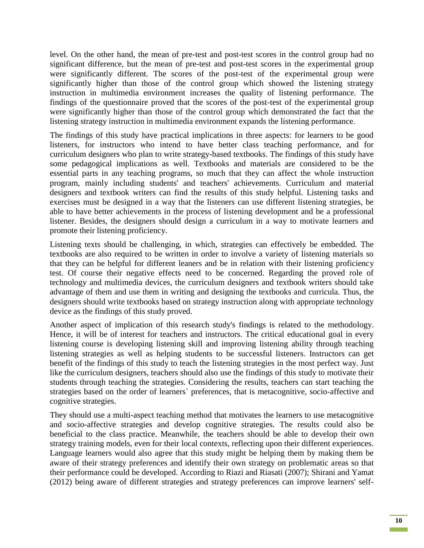level. On the other hand, the mean of pre-test and post-test scores in the control group had no significant difference, but the mean of pre-test and post-test scores in the experimental group were significantly different. The scores of the post-test of the experimental group were significantly higher than those of the control group which showed the listening strategy instruction in multimedia environment increases the quality of listening performance. The findings of the questionnaire proved that the scores of the post-test of the experimental group were significantly higher than those of the control group which demonstrated the fact that the listening strategy instruction in multimedia environment expands the listening performance.

The findings of this study have practical implications in three aspects: for learners to be good listeners, for instructors who intend to have better class teaching performance, and for curriculum designers who plan to write strategy-based textbooks. The findings of this study have some pedagogical implications as well. Textbooks and materials are considered to be the essential parts in any teaching programs, so much that they can affect the whole instruction program, mainly including students' and teachers' achievements. Curriculum and material designers and textbook writers can find the results of this study helpful. Listening tasks and exercises must be designed in a way that the listeners can use different listening strategies, be able to have better achievements in the process of listening development and be a professional listener. Besides, the designers should design a curriculum in a way to motivate learners and promote their listening proficiency.

Listening texts should be challenging, in which, strategies can effectively be embedded. The textbooks are also required to be written in order to involve a variety of listening materials so that they can be helpful for different leaners and be in relation with their listening proficiency test. Of course their negative effects need to be concerned. Regarding the proved role of technology and multimedia devices, the curriculum designers and textbook writers should take advantage of them and use them in writing and designing the textbooks and curricula. Thus, the designers should write textbooks based on strategy instruction along with appropriate technology device as the findings of this study proved.

Another aspect of implication of this research study's findings is related to the methodology. Hence, it will be of interest for teachers and instructors. The critical educational goal in every listening course is developing listening skill and improving listening ability through teaching listening strategies as well as helping students to be successful listeners. Instructors can get benefit of the findings of this study to teach the listening strategies in the most perfect way. Just like the curriculum designers, teachers should also use the findings of this study to motivate their students through teaching the strategies. Considering the results, teachers can start teaching the strategies based on the order of learners` preferences, that is metacognitive, socio-affective and cognitive strategies.

They should use a multi-aspect teaching method that motivates the learners to use metacognitive and socio-affective strategies and develop cognitive strategies. The results could also be beneficial to the class practice. Meanwhile, the teachers should be able to develop their own strategy training models, even for their local contexts, reflecting upon their different experiences. Language learners would also agree that this study might be helping them by making them be aware of their strategy preferences and identify their own strategy on problematic areas so that their performance could be developed. According to Riazi and Riasati (2007); Shirani and Yamat (2012) being aware of different strategies and strategy preferences can improve learners' self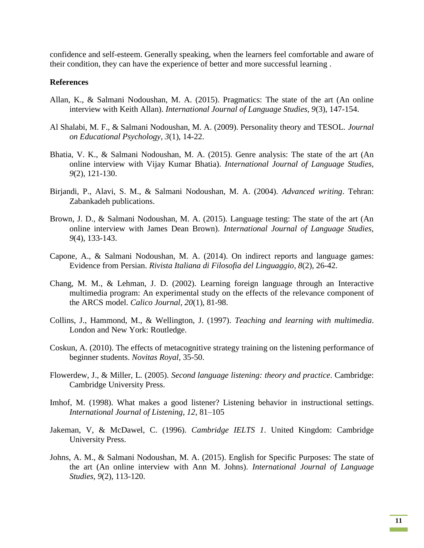confidence and self-esteem. Generally speaking, when the learners feel comfortable and aware of their condition, they can have the experience of better and more successful learning .

#### **References**

- Allan, K., & Salmani Nodoushan, M. A. (2015). Pragmatics: The state of the art (An online interview with Keith Allan). *International Journal of Language Studies, 9*(3), 147-154.
- Al Shalabi, M. F., & Salmani Nodoushan, M. A. (2009). Personality theory and TESOL. *Journal on Educational Psychology, 3*(1), 14-22.
- Bhatia, V. K., & Salmani Nodoushan, M. A. (2015). Genre analysis: The state of the art (An online interview with Vijay Kumar Bhatia). *International Journal of Language Studies, 9*(2), 121-130.
- Birjandi, P., Alavi, S. M., & Salmani Nodoushan, M. A. (2004). *Advanced writing*. Tehran: Zabankadeh publications.
- Brown, J. D., & Salmani Nodoushan, M. A. (2015). Language testing: The state of the art (An online interview with James Dean Brown). *International Journal of Language Studies, 9*(4), 133-143.
- Capone, A., & Salmani Nodoushan, M. A. (2014). On indirect reports and language games: Evidence from Persian. *Rivista Italiana di Filosofia del Linguaggio, 8*(2), 26-42.
- Chang, M. M., & Lehman, J. D. (2002). Learning foreign language through an Interactive multimedia program: An experimental study on the effects of the relevance component of the ARCS model. *Calico Journal, 20*(1), 81-98.
- Collins, J., Hammond, M., & Wellington, J. (1997). *Teaching and learning with multimedia*. London and New York: Routledge.
- Coskun, A. (2010). The effects of metacognitive strategy training on the listening performance of beginner students. *Novitas Royal*, 35-50.
- Flowerdew, J., & Miller, L. (2005). *Second language listening: theory and practice*. Cambridge: Cambridge University Press.
- Imhof, M. (1998). What makes a good listener? Listening behavior in instructional settings. *International Journal of Listening, 12*, 81–105
- Jakeman, V, & McDawel, C. (1996). *Cambridge IELTS 1*. United Kingdom: Cambridge University Press.
- Johns, A. M., & Salmani Nodoushan, M. A. (2015). English for Specific Purposes: The state of the art (An online interview with Ann M. Johns). *International Journal of Language Studies, 9*(2), 113-120.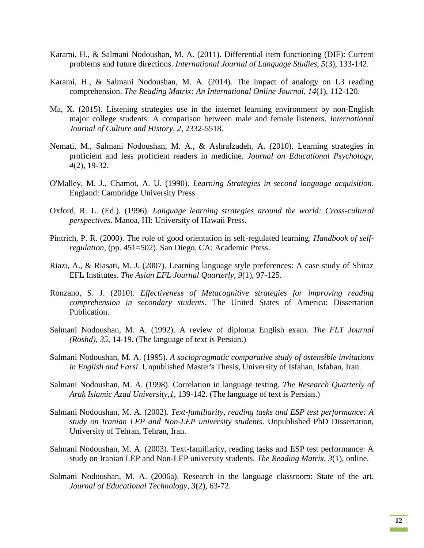- Karami, H., & Salmani Nodoushan, M. A. (2011). Differential item functioning (DIF): Current problems and future directions. *International Journal of Language Studies, 5*(3), 133-142.
- Karami, H., & Salmani Nodoushan, M. A. (2014). The impact of analogy on L3 reading comprehension. *The Reading Matrix: An International Online Journal, 14*(1), 112-120.
- Ma, X. (2015). Listening strategies use in the internet learning environment by non-English major college students: A comparison between male and female listeners. *International Journal of Culture and History, 2*, 2332-5518.
- Nemati, M., Salmani Nodoushan, M. A., & Ashrafzadeh, A. (2010). Learning strategies in proficient and less proficient readers in medicine. *Journal on Educational Psychology, 4*(2), 19-32.
- O'Malley, M. J., Chamot, A. U. (1990). *Learning Strategies in second language acquisition*. England: Cambridge University Press
- Oxford, R. L. (Ed.). (1996). *Language learning strategies around the world: Cross-cultural perspectives*. Manoa, HI: University of Hawaii Press.
- Pintrich, P. R. (2000). The role of good orientation in self-regulated learning. *Handbook of selfregulation*, (pp. 451=502). San Diego, CA: Academic Press.
- Riazi, A., & Riasati, M. J. (2007). Learning language style preferences: A case study of Shiraz EFL Institutes. *The Asian EFL Journal Quarterly, 9*(1), 97-125.
- Ronzano, S. J. (2010). *Effectiveness of Metacognitive strategies for improving reading comprehension in secondary students*. The United States of America: Dissertation Publication.
- Salmani Nodoushan, M. A. (1992). A review of diploma English exam. *The FLT Journal (Roshd), 35*, 14-19. (The language of text is Persian.)
- Salmani Nodoushan, M. A. (1995). *A sociopragmatic comparative study of ostensible invitations in English and Farsi*. Unpublished Master's Thesis, University of Isfahan, Isfahan, Iran.
- Salmani Nodoushan, M. A. (1998). Correlation in language testing. *The Research Quarterly of Arak Islamic Azad University,1*, 139-142. (The language of text is Persian.)
- Salmani Nodoushan, M. A. (2002). *Text-familiarity, reading tasks and ESP test performance: A study on Iranian LEP and Non-LEP university students*. Unpublished PhD Dissertation, University of Tehran, Tehran, Iran.
- Salmani Nodoushan, M. A. (2003). Text-familiarity, reading tasks and ESP test performance: A study on Iranian LEP and Non-LEP university students. *The Reading Matrix, 3*(1), online.
- Salmani Nodoushan, M. A. (2006a). Research in the language classroom: State of the art. *Journal of Educational Technology, 3*(2), 63-72.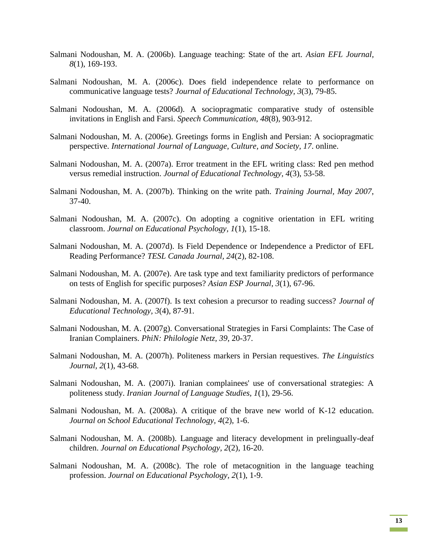- Salmani Nodoushan, M. A. (2006b). Language teaching: State of the art. *Asian EFL Journal, 8*(1), 169-193.
- Salmani Nodoushan, M. A. (2006c). Does field independence relate to performance on communicative language tests? *Journal of Educational Technology, 3*(3), 79-85.
- Salmani Nodoushan, M. A. (2006d). A sociopragmatic comparative study of ostensible invitations in English and Farsi. *Speech Communication, 48*(8), 903-912.
- Salmani Nodoushan, M. A. (2006e). Greetings forms in English and Persian: A sociopragmatic perspective. *International Journal of Language, Culture, and Society, 17*. online.
- Salmani Nodoushan, M. A. (2007a). Error treatment in the EFL writing class: Red pen method versus remedial instruction. *Journal of Educational Technology, 4*(3), 53-58.
- Salmani Nodoushan, M. A. (2007b). Thinking on the write path. *Training Journal, May 2007*, 37-40.
- Salmani Nodoushan, M. A. (2007c). On adopting a cognitive orientation in EFL writing classroom. *Journal on Educational Psychology, 1*(1), 15-18.
- Salmani Nodoushan, M. A. (2007d). Is Field Dependence or Independence a Predictor of EFL Reading Performance? *TESL Canada Journal, 24*(2), 82-108.
- Salmani Nodoushan, M. A. (2007e). Are task type and text familiarity predictors of performance on tests of English for specific purposes? *Asian ESP Journal, 3*(1), 67-96.
- Salmani Nodoushan, M. A. (2007f). Is text cohesion a precursor to reading success? *Journal of Educational Technology, 3*(4), 87-91.
- Salmani Nodoushan, M. A. (2007g). Conversational Strategies in Farsi Complaints: The Case of Iranian Complainers. *PhiN: Philologie Netz, 39*, 20-37.
- Salmani Nodoushan, M. A. (2007h). Politeness markers in Persian requestives. *The Linguistics Journal, 2*(1), 43-68.
- Salmani Nodoushan, M. A. (2007i). Iranian complainees' use of conversational strategies: A politeness study. *Iranian Journal of Language Studies, 1*(1), 29-56.
- Salmani Nodoushan, M. A. (2008a). A critique of the brave new world of K-12 education. *Journal on School Educational Technology, 4*(2), 1-6.
- Salmani Nodoushan, M. A. (2008b). Language and literacy development in prelingually-deaf children. *Journal on Educational Psychology, 2*(2), 16-20.
- Salmani Nodoushan, M. A. (2008c). The role of metacognition in the language teaching profession. *Journal on Educational Psychology, 2*(1), 1-9.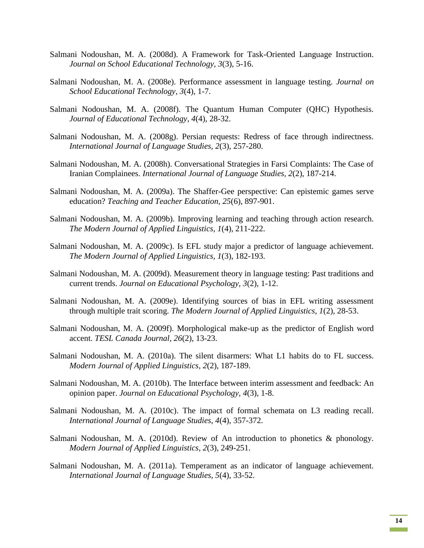- Salmani Nodoushan, M. A. (2008d). A Framework for Task-Oriented Language Instruction. *Journal on School Educational Technology, 3*(3), 5-16.
- Salmani Nodoushan, M. A. (2008e). Performance assessment in language testing. *Journal on School Educational Technology, 3*(4), 1-7.
- Salmani Nodoushan, M. A. (2008f). The Quantum Human Computer (QHC) Hypothesis. *Journal of Educational Technology, 4*(4), 28-32.
- Salmani Nodoushan, M. A. (2008g). Persian requests: Redress of face through indirectness. *International Journal of Language Studies, 2*(3), 257-280.
- Salmani Nodoushan, M. A. (2008h). Conversational Strategies in Farsi Complaints: The Case of Iranian Complainees. *International Journal of Language Studies, 2*(2), 187-214.
- Salmani Nodoushan, M. A. (2009a). The Shaffer-Gee perspective: Can epistemic games serve education? *Teaching and Teacher Education, 25*(6), 897-901.
- Salmani Nodoushan, M. A. (2009b). Improving learning and teaching through action research. *The Modern Journal of Applied Linguistics, 1*(4), 211-222.
- Salmani Nodoushan, M. A. (2009c). Is EFL study major a predictor of language achievement. *The Modern Journal of Applied Linguistics, 1*(3), 182-193.
- Salmani Nodoushan, M. A. (2009d). Measurement theory in language testing: Past traditions and current trends. *Journal on Educational Psychology, 3*(2), 1-12.
- Salmani Nodoushan, M. A. (2009e). Identifying sources of bias in EFL writing assessment through multiple trait scoring. *The Modern Journal of Applied Linguistics, 1*(2), 28-53.
- Salmani Nodoushan, M. A. (2009f). Morphological make-up as the predictor of English word accent. *TESL Canada Journal, 26*(2), 13-23.
- Salmani Nodoushan, M. A. (2010a). The silent disarmers: What L1 habits do to FL success. *Modern Journal of Applied Linguistics, 2*(2), 187-189.
- Salmani Nodoushan, M. A. (2010b). The Interface between interim assessment and feedback: An opinion paper. *Journal on Educational Psychology, 4*(3), 1-8.
- Salmani Nodoushan, M. A. (2010c). The impact of formal schemata on L3 reading recall. *International Journal of Language Studies, 4*(4), 357-372.
- Salmani Nodoushan, M. A. (2010d). Review of An introduction to phonetics & phonology. *Modern Journal of Applied Linguistics, 2*(3), 249-251.
- Salmani Nodoushan, M. A. (2011a). Temperament as an indicator of language achievement. *International Journal of Language Studies, 5*(4), 33-52.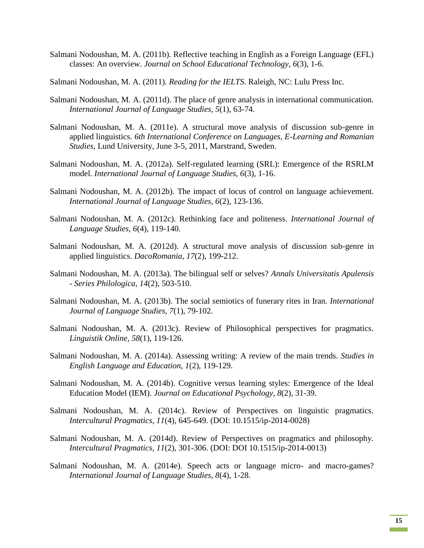- Salmani Nodoushan, M. A. (2011b). Reflective teaching in English as a Foreign Language (EFL) classes: An overview. *Journal on School Educational Technology, 6*(3), 1-6.
- Salmani Nodoushan, M. A. (2011). *Reading for the IELTS*. Raleigh, NC: Lulu Press Inc.
- Salmani Nodoushan, M. A. (2011d). The place of genre analysis in international communication. *International Journal of Language Studies, 5*(1), 63-74.
- Salmani Nodoushan, M. A. (2011e). A structural move analysis of discussion sub-genre in applied linguistics. *6th International Conference on Languages, E-Learning and Romanian Studies*, Lund University, June 3-5, 2011, Marstrand, Sweden.
- Salmani Nodoushan, M. A. (2012a). Self-regulated learning (SRL): Emergence of the RSRLM model. *International Journal of Language Studies, 6*(3), 1-16.
- Salmani Nodoushan, M. A. (2012b). The impact of locus of control on language achievement. *International Journal of Language Studies, 6*(2), 123-136.
- Salmani Nodoushan, M. A. (2012c). Rethinking face and politeness. *International Journal of Language Studies, 6*(4), 119-140.
- Salmani Nodoushan, M. A. (2012d). A structural move analysis of discussion sub-genre in applied linguistics. *DacoRomania, 17*(2), 199-212.
- Salmani Nodoushan, M. A. (2013a). The bilingual self or selves? *Annals Universitatis Apulensis - Series Philologica, 14*(2), 503-510.
- Salmani Nodoushan, M. A. (2013b). The social semiotics of funerary rites in Iran. *International Journal of Language Studies, 7*(1), 79-102.
- Salmani Nodoushan, M. A. (2013c). Review of Philosophical perspectives for pragmatics. *Linguistik Online, 58*(1), 119-126.
- Salmani Nodoushan, M. A. (2014a). Assessing writing: A review of the main trends. *Studies in English Language and Education, 1*(2), 119-129.
- Salmani Nodoushan, M. A. (2014b). Cognitive versus learning styles: Emergence of the Ideal Education Model (IEM). *Journal on Educational Psychology, 8*(2), 31-39.
- Salmani Nodoushan, M. A. (2014c). Review of Perspectives on linguistic pragmatics. *Intercultural Pragmatics, 11*(4), 645-649. (DOI: 10.1515/ip-2014-0028)
- Salmani Nodoushan, M. A. (2014d). Review of Perspectives on pragmatics and philosophy. *Intercultural Pragmatics, 11*(2), 301-306. (DOI: DOI 10.1515/ip-2014-0013)
- Salmani Nodoushan, M. A. (2014e). Speech acts or language micro- and macro-games? *International Journal of Language Studies, 8*(4), 1-28.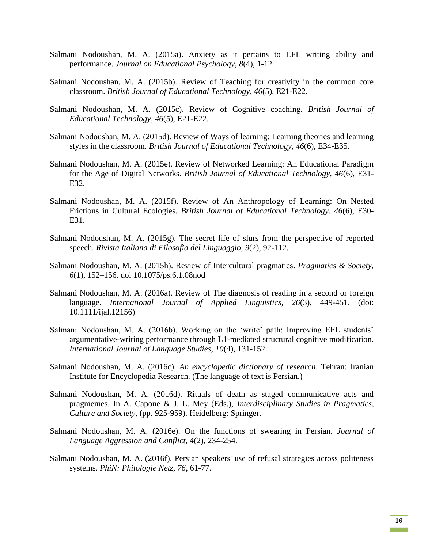- Salmani Nodoushan, M. A. (2015a). Anxiety as it pertains to EFL writing ability and performance. *Journal on Educational Psychology, 8*(4), 1-12.
- Salmani Nodoushan, M. A. (2015b). Review of Teaching for creativity in the common core classroom. *British Journal of Educational Technology, 46*(5), E21-E22.
- Salmani Nodoushan, M. A. (2015c). Review of Cognitive coaching. *British Journal of Educational Technology, 46*(5), E21-E22.
- Salmani Nodoushan, M. A. (2015d). Review of Ways of learning: Learning theories and learning styles in the classroom. *British Journal of Educational Technology, 46*(6), E34-E35.
- Salmani Nodoushan, M. A. (2015e). Review of Networked Learning: An Educational Paradigm for the Age of Digital Networks. *British Journal of Educational Technology, 46*(6), E31- E32.
- Salmani Nodoushan, M. A. (2015f). Review of An Anthropology of Learning: On Nested Frictions in Cultural Ecologies. *British Journal of Educational Technology, 46*(6), E30- E31.
- Salmani Nodoushan, M. A. (2015g). The secret life of slurs from the perspective of reported speech. *Rivista Italiana di Filosofia del Linguaggio, 9*(2), 92-112.
- Salmani Nodoushan, M. A. (2015h). Review of Intercultural pragmatics. *Pragmatics & Society, 6*(1), 152–156. doi 10.1075/ps.6.1.08nod
- Salmani Nodoushan, M. A. (2016a). Review of The diagnosis of reading in a second or foreign language. *International Journal of Applied Linguistics, 26*(3), 449-451. (doi: 10.1111/ijal.12156)
- Salmani Nodoushan, M. A. (2016b). Working on the 'write' path: Improving EFL students' argumentative-writing performance through L1-mediated structural cognitive modification. *International Journal of Language Studies, 10*(4), 131-152.
- Salmani Nodoushan, M. A. (2016c). *An encyclopedic dictionary of research*. Tehran: Iranian Institute for Encyclopedia Research. (The language of text is Persian.)
- Salmani Nodoushan, M. A. (2016d). Rituals of death as staged communicative acts and pragmemes. In A. Capone & J. L. Mey (Eds.), *Interdisciplinary Studies in Pragmatics, Culture and Society*, (pp. 925-959). Heidelberg: Springer.
- Salmani Nodoushan, M. A. (2016e). On the functions of swearing in Persian. *Journal of Language Aggression and Conflict, 4*(2), 234-254.
- Salmani Nodoushan, M. A. (2016f). Persian speakers' use of refusal strategies across politeness systems. *PhiN: Philologie Netz, 76*, 61-77.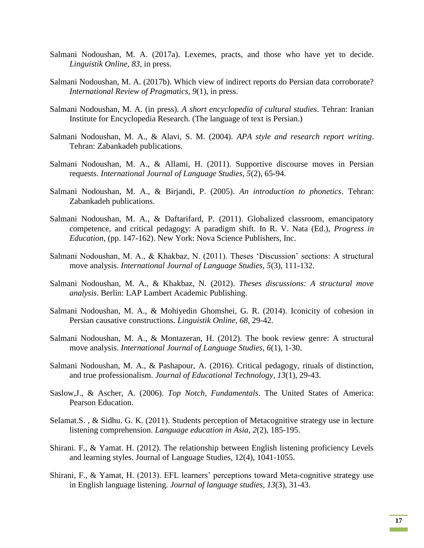- Salmani Nodoushan, M. A. (2017a). Lexemes, practs, and those who have yet to decide. *Linguistik Online, 83*, in press.
- Salmani Nodoushan, M. A. (2017b). Which view of indirect reports do Persian data corroborate? *International Review of Pragmatics, 9*(1), in press.
- Salmani Nodoushan, M. A. (in press). *A short encyclopedia of cultural studies*. Tehran: Iranian Institute for Encyclopedia Research. (The language of text is Persian.)
- Salmani Nodoushan, M. A., & Alavi, S. M. (2004). *APA style and research report writing*. Tehran: Zabankadeh publications.
- Salmani Nodoushan, M. A., & Allami, H. (2011). Supportive discourse moves in Persian requests. *International Journal of Language Studies, 5*(2), 65-94.
- Salmani Nodoushan, M. A., & Birjandi, P. (2005). *An introduction to phonetics*. Tehran: Zabankadeh publications.
- Salmani Nodoushan, M. A., & Daftarifard, P. (2011). Globalized classroom, emancipatory competence, and critical pedagogy: A paradigm shift. In R. V. Nata (Ed.), *Progress in Education*, (pp. 147-162). New York: Nova Science Publishers, Inc.
- Salmani Nodoushan, M. A., & Khakbaz, N. (2011). Theses 'Discussion' sections: A structural move analysis. *International Journal of Language Studies, 5*(3), 111-132.
- Salmani Nodoushan, M. A., & Khakbaz, N. (2012). *Theses discussions: A structural move analysis*. Berlin: LAP Lambert Academic Publishing.
- Salmani Nodoushan, M. A., & Mohiyedin Ghomshei, G. R. (2014). Iconicity of cohesion in Persian causative constructions. *Linguistik Online, 68*, 29-42.
- Salmani Nodoushan, M. A., & Montazeran, H. (2012). The book review genre: A structural move analysis. *International Journal of Language Studies, 6*(1), 1-30.
- Salmani Nodoushan, M. A., & Pashapour, A. (2016). Critical pedagogy, rituals of distinction, and true professionalism. *Journal of Educational Technology, 13*(1), 29-43.
- Saslow,J., & Ascher, A. (2006). *Top Notch, Fundamentals*. The United States of America: Pearson Education.
- Selamat.S. , & Sidhu. G. K. (2011). Students perception of Metacognitive strategy use in lecture listening comprehension. *Language education in Asia, 2*(2), 185-195.
- Shirani. F., & Yamat. H. (2012). The relationship between English listening proficiency Levels and learning styles. Journal of Language Studies, 12(4), 1041-1055.
- Shirani, F., & Yamat, H. (2013). EFL learners' perceptions toward Meta-cognitive strategy use in English language listening. *Journal of language studies, 13*(3), 31-43.